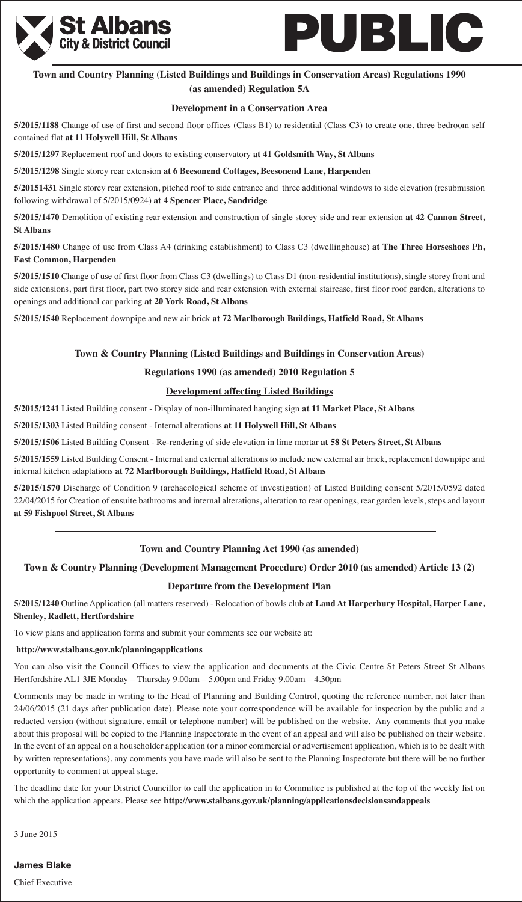



# **Town and Country Planning (Listed Buildings and Buildings in Conservation Areas) Regulations 1990 (as amended) Regulation 5A**

### **Development in a Conservation Area**

**5/2015/1188** Change of use of first and second floor offices (Class B1) to residential (Class C3) to create one, three bedroom self contained flat **at 11 Holywell Hill, St Albans**

**5/2015/1297** Replacement roof and doors to existing conservatory **at 41 Goldsmith Way, St Albans**

**5/2015/1298** Single storey rear extension **at 6 Beesonend Cottages, Beesonend Lane, Harpenden**

**5/20151431** Single storey rear extension, pitched roof to side entrance and three additional windows to side elevation (resubmission following withdrawal of 5/2015/0924) **at 4 Spencer Place, Sandridge**

**5/2015/1470** Demolition of existing rear extension and construction of single storey side and rear extension **at 42 Cannon Street, St Albans**

**5/2015/1480** Change of use from Class A4 (drinking establishment) to Class C3 (dwellinghouse) **at The Three Horseshoes Ph, East Common, Harpenden**

**5/2015/1510** Change of use of first floor from Class C3 (dwellings) to Class D1 (non-residential institutions), single storey front and side extensions, part first floor, part two storey side and rear extension with external staircase, first floor roof garden, alterations to openings and additional car parking **at 20 York Road, St Albans**

**5/2015/1540** Replacement downpipe and new air brick **at 72 Marlborough Buildings, Hatfield Road, St Albans**

# **Town & Country Planning (Listed Buildings and Buildings in Conservation Areas)**

### **Regulations 1990 (as amended) 2010 Regulation 5**

### **Development affecting Listed Buildings**

**5/2015/1241** Listed Building consent - Display of non-illuminated hanging sign **at 11 Market Place, St Albans**

**5/2015/1303** Listed Building consent - Internal alterations **at 11 Holywell Hill, St Albans**

**5/2015/1506** Listed Building Consent - Re-rendering of side elevation in lime mortar **at 58 St Peters Street, St Albans**

**5/2015/1559** Listed Building Consent - Internal and external alterations to include new external air brick, replacement downpipe and internal kitchen adaptations **at 72 Marlborough Buildings, Hatfield Road, St Albans**

**5/2015/1570** Discharge of Condition 9 (archaeological scheme of investigation) of Listed Building consent 5/2015/0592 dated 22/04/2015 for Creation of ensuite bathrooms and internal alterations, alteration to rear openings, rear garden levels, steps and layout **at 59 Fishpool Street, St Albans**

### **Town and Country Planning Act 1990 (as amended)**

### **Town & Country Planning (Development Management Procedure) Order 2010 (as amended) Article 13 (2)**

### **Departure from the Development Plan**

**5/2015/1240** Outline Application (all matters reserved) - Relocation of bowls club **at Land At Harperbury Hospital, Harper Lane, Shenley, Radlett, Hertfordshire**

To view plans and application forms and submit your comments see our website at:

### **http://www.stalbans.gov.uk/planningapplications**

You can also visit the Council Offices to view the application and documents at the Civic Centre St Peters Street St Albans Hertfordshire AL1 3JE Monday – Thursday 9.00am – 5.00pm and Friday 9.00am – 4.30pm

Comments may be made in writing to the Head of Planning and Building Control, quoting the reference number, not later than 24/06/2015 (21 days after publication date). Please note your correspondence will be available for inspection by the public and a redacted version (without signature, email or telephone number) will be published on the website. Any comments that you make about this proposal will be copied to the Planning Inspectorate in the event of an appeal and will also be published on their website. In the event of an appeal on a householder application (or a minor commercial or advertisement application, which is to be dealt with by written representations), any comments you have made will also be sent to the Planning Inspectorate but there will be no further opportunity to comment at appeal stage.

The deadline date for your District Councillor to call the application in to Committee is published at the top of the weekly list on which the application appears. Please see **http://www.stalbans.gov.uk/planning/applicationsdecisionsandappeals**

3 June 2015

# **James Blake**

Chief Executive